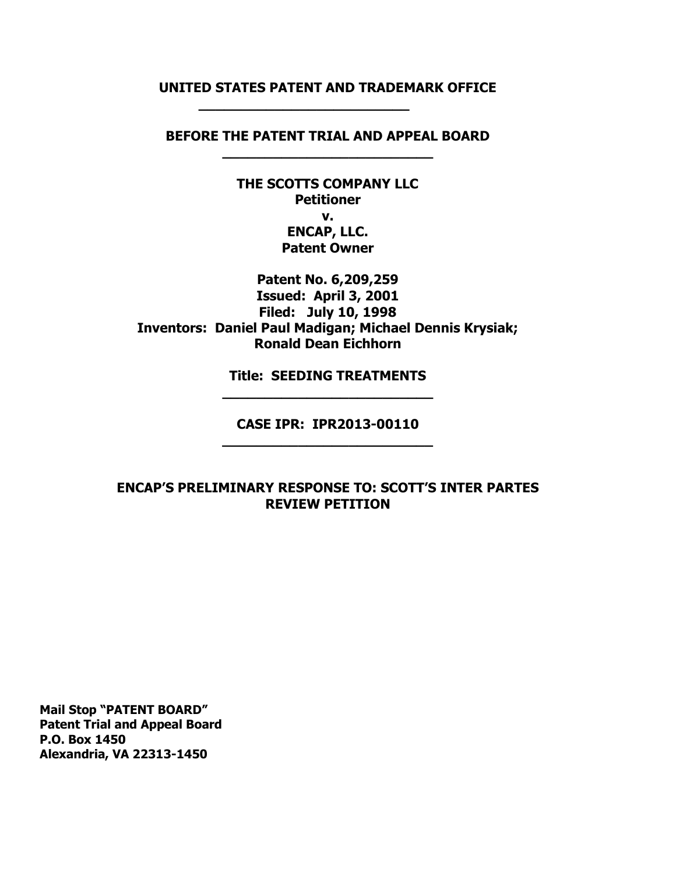## **UNITED STATES PATENT AND TRADEMARK OFFICE**

**\_\_\_\_\_\_\_\_\_\_\_\_\_\_\_\_\_\_\_\_\_\_\_\_\_**

**BEFORE THE PATENT TRIAL AND APPEAL BOARD \_\_\_\_\_\_\_\_\_\_\_\_\_\_\_\_\_\_\_\_\_\_\_\_\_**

> **THE SCOTTS COMPANY LLC Petitioner v. ENCAP, LLC. Patent Owner**

**Patent No. 6,209,259 Issued: April 3, 2001 Filed: July 10, 1998 Inventors: Daniel Paul Madigan; Michael Dennis Krysiak; Ronald Dean Eichhorn**

> **Title: SEEDING TREATMENTS \_\_\_\_\_\_\_\_\_\_\_\_\_\_\_\_\_\_\_\_\_\_\_\_\_**

**CASE IPR: IPR2013-00110 \_\_\_\_\_\_\_\_\_\_\_\_\_\_\_\_\_\_\_\_\_\_\_\_\_** 

**ENCAP'S PRELIMINARY RESPONSE TO: SCOTT'S INTER PARTES REVIEW PETITION**

**Mail Stop "PATENT BOARD" Patent Trial and Appeal Board P.O. Box 1450 Alexandria, VA 22313-1450**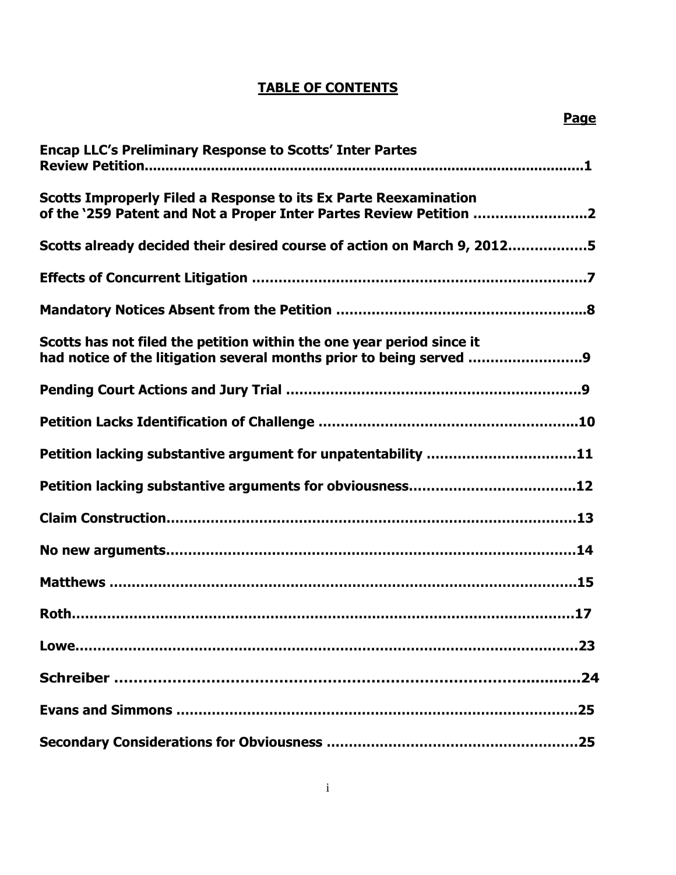# **TABLE OF CONTENTS**

| <b>Encap LLC's Preliminary Response to Scotts' Inter Partes</b>                                                                              |
|----------------------------------------------------------------------------------------------------------------------------------------------|
| Scotts Improperly Filed a Response to its Ex Parte Reexamination<br>of the '259 Patent and Not a Proper Inter Partes Review Petition 2       |
| Scotts already decided their desired course of action on March 9, 20125                                                                      |
|                                                                                                                                              |
|                                                                                                                                              |
| Scotts has not filed the petition within the one year period since it<br>had notice of the litigation several months prior to being served 9 |
|                                                                                                                                              |
|                                                                                                                                              |
| Petition lacking substantive argument for unpatentability 11                                                                                 |
|                                                                                                                                              |
|                                                                                                                                              |
|                                                                                                                                              |
|                                                                                                                                              |
|                                                                                                                                              |
|                                                                                                                                              |
|                                                                                                                                              |
|                                                                                                                                              |
|                                                                                                                                              |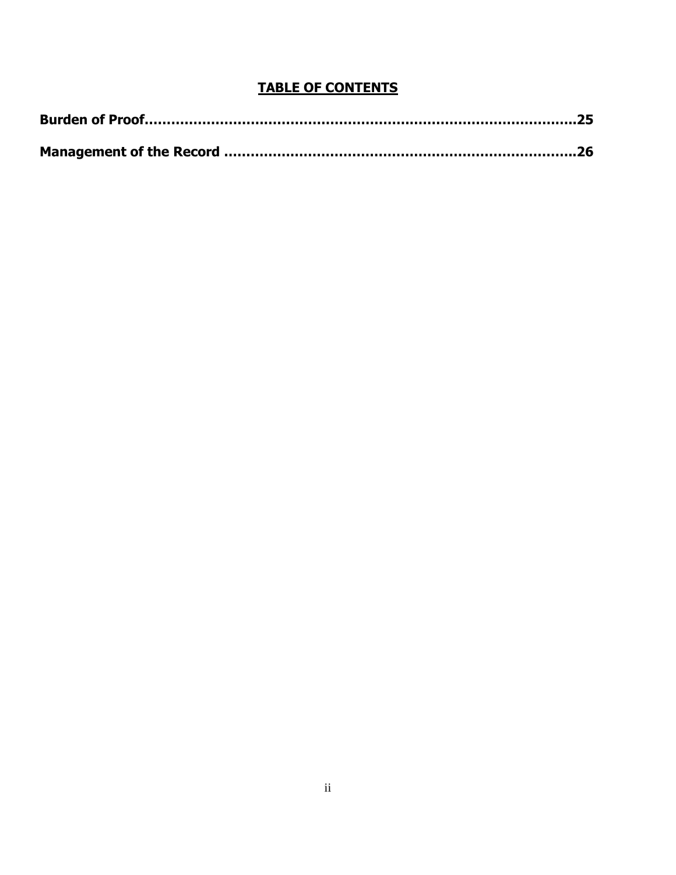# **TABLE OF CONTENTS**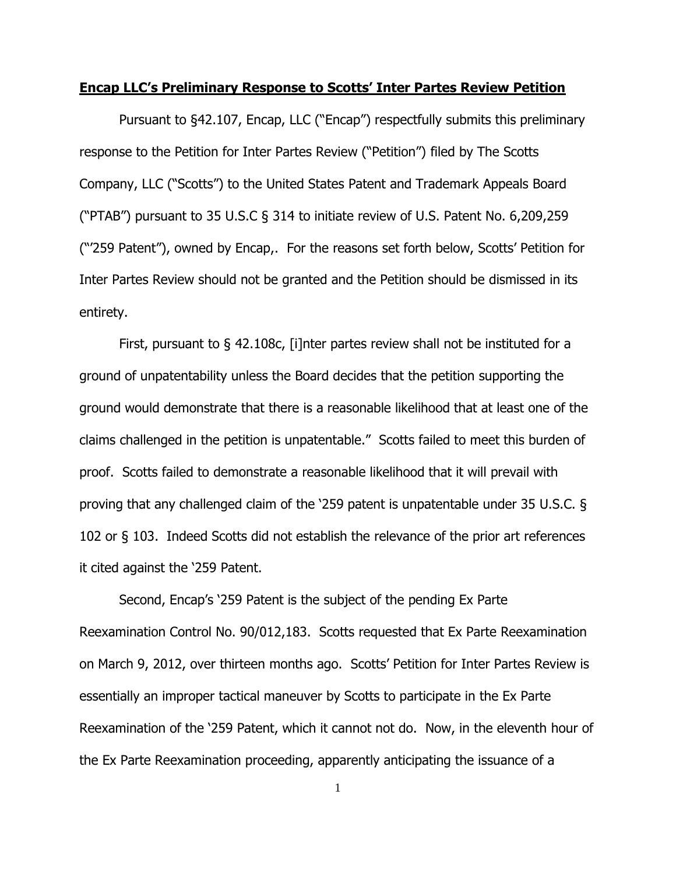#### **Encap LLC's Preliminary Response to Scotts' Inter Partes Review Petition**

Pursuant to §42.107, Encap, LLC ("Encap") respectfully submits this preliminary response to the Petition for Inter Partes Review ("Petition") filed by The Scotts Company, LLC ("Scotts") to the United States Patent and Trademark Appeals Board ("PTAB") pursuant to 35 U.S.C § 314 to initiate review of U.S. Patent No. 6,209,259 ("'259 Patent"), owned by Encap,. For the reasons set forth below, Scotts' Petition for Inter Partes Review should not be granted and the Petition should be dismissed in its entirety.

First, pursuant to § 42.108c, [i]nter partes review shall not be instituted for a ground of unpatentability unless the Board decides that the petition supporting the ground would demonstrate that there is a reasonable likelihood that at least one of the claims challenged in the petition is unpatentable." Scotts failed to meet this burden of proof. Scotts failed to demonstrate a reasonable likelihood that it will prevail with proving that any challenged claim of the '259 patent is unpatentable under 35 U.S.C. § 102 or § 103. Indeed Scotts did not establish the relevance of the prior art references it cited against the '259 Patent.

Second, Encap's '259 Patent is the subject of the pending Ex Parte Reexamination Control No. 90/012,183. Scotts requested that Ex Parte Reexamination on March 9, 2012, over thirteen months ago. Scotts' Petition for Inter Partes Review is essentially an improper tactical maneuver by Scotts to participate in the Ex Parte Reexamination of the '259 Patent, which it cannot not do. Now, in the eleventh hour of the Ex Parte Reexamination proceeding, apparently anticipating the issuance of a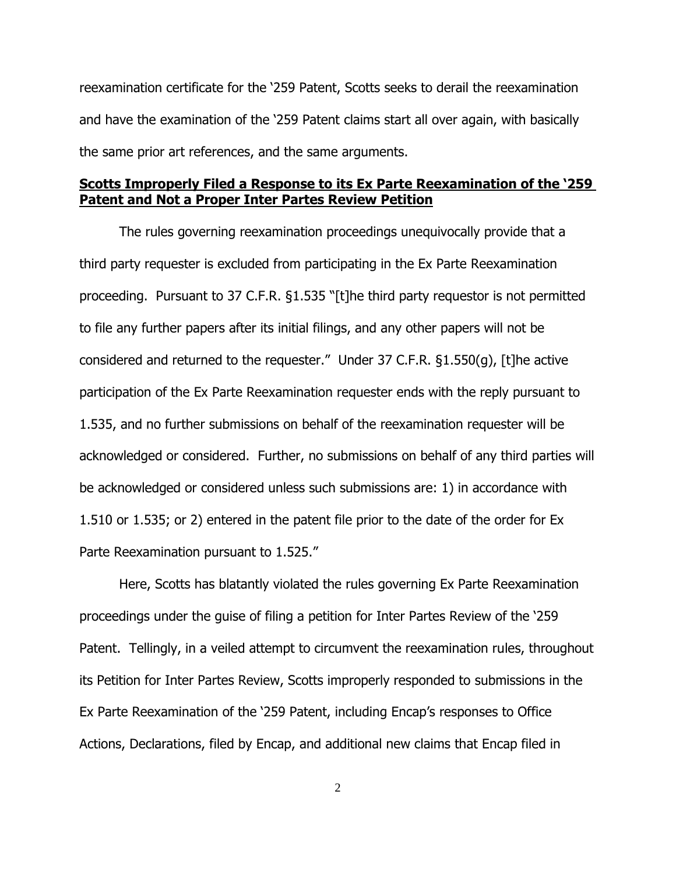reexamination certificate for the '259 Patent, Scotts seeks to derail the reexamination and have the examination of the '259 Patent claims start all over again, with basically the same prior art references, and the same arguments.

## **Scotts Improperly Filed a Response to its Ex Parte Reexamination of the '259 Patent and Not a Proper Inter Partes Review Petition**

The rules governing reexamination proceedings unequivocally provide that a third party requester is excluded from participating in the Ex Parte Reexamination proceeding. Pursuant to 37 C.F.R. §1.535 "[t]he third party requestor is not permitted to file any further papers after its initial filings, and any other papers will not be considered and returned to the requester." Under 37 C.F.R. §1.550(g), [t]he active participation of the Ex Parte Reexamination requester ends with the reply pursuant to 1.535, and no further submissions on behalf of the reexamination requester will be acknowledged or considered. Further, no submissions on behalf of any third parties will be acknowledged or considered unless such submissions are: 1) in accordance with 1.510 or 1.535; or 2) entered in the patent file prior to the date of the order for Ex Parte Reexamination pursuant to 1.525."

Here, Scotts has blatantly violated the rules governing Ex Parte Reexamination proceedings under the guise of filing a petition for Inter Partes Review of the '259 Patent. Tellingly, in a veiled attempt to circumvent the reexamination rules, throughout its Petition for Inter Partes Review, Scotts improperly responded to submissions in the Ex Parte Reexamination of the '259 Patent, including Encap's responses to Office Actions, Declarations, filed by Encap, and additional new claims that Encap filed in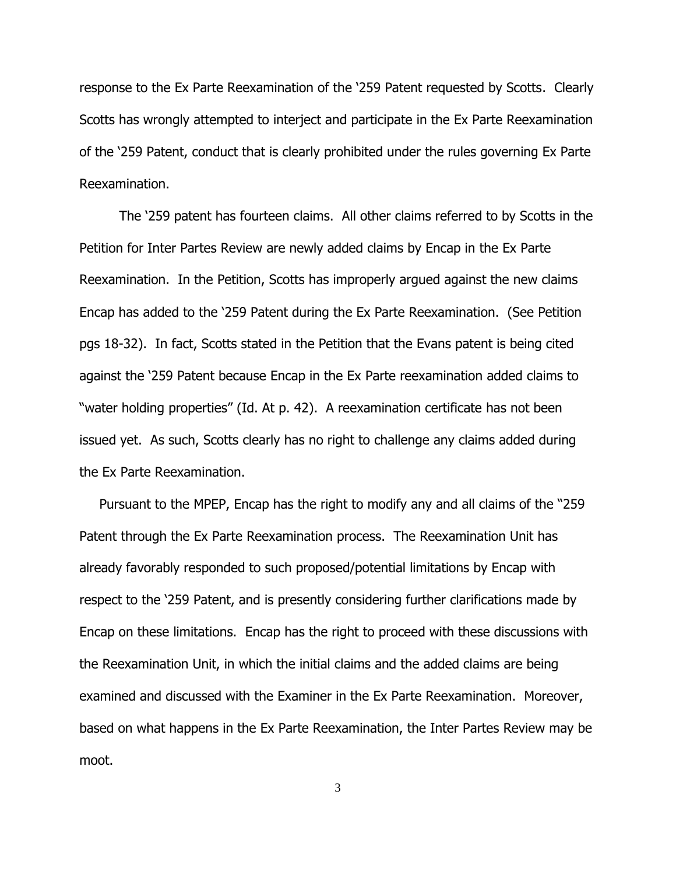response to the Ex Parte Reexamination of the '259 Patent requested by Scotts. Clearly Scotts has wrongly attempted to interject and participate in the Ex Parte Reexamination of the '259 Patent, conduct that is clearly prohibited under the rules governing Ex Parte Reexamination.

The '259 patent has fourteen claims. All other claims referred to by Scotts in the Petition for Inter Partes Review are newly added claims by Encap in the Ex Parte Reexamination. In the Petition, Scotts has improperly argued against the new claims Encap has added to the '259 Patent during the Ex Parte Reexamination. (See Petition pgs 18-32). In fact, Scotts stated in the Petition that the Evans patent is being cited against the '259 Patent because Encap in the Ex Parte reexamination added claims to "water holding properties" (Id. At p. 42). A reexamination certificate has not been issued yet. As such, Scotts clearly has no right to challenge any claims added during the Ex Parte Reexamination.

Pursuant to the MPEP, Encap has the right to modify any and all claims of the "259 Patent through the Ex Parte Reexamination process. The Reexamination Unit has already favorably responded to such proposed/potential limitations by Encap with respect to the '259 Patent, and is presently considering further clarifications made by Encap on these limitations. Encap has the right to proceed with these discussions with the Reexamination Unit, in which the initial claims and the added claims are being examined and discussed with the Examiner in the Ex Parte Reexamination. Moreover, based on what happens in the Ex Parte Reexamination, the Inter Partes Review may be moot.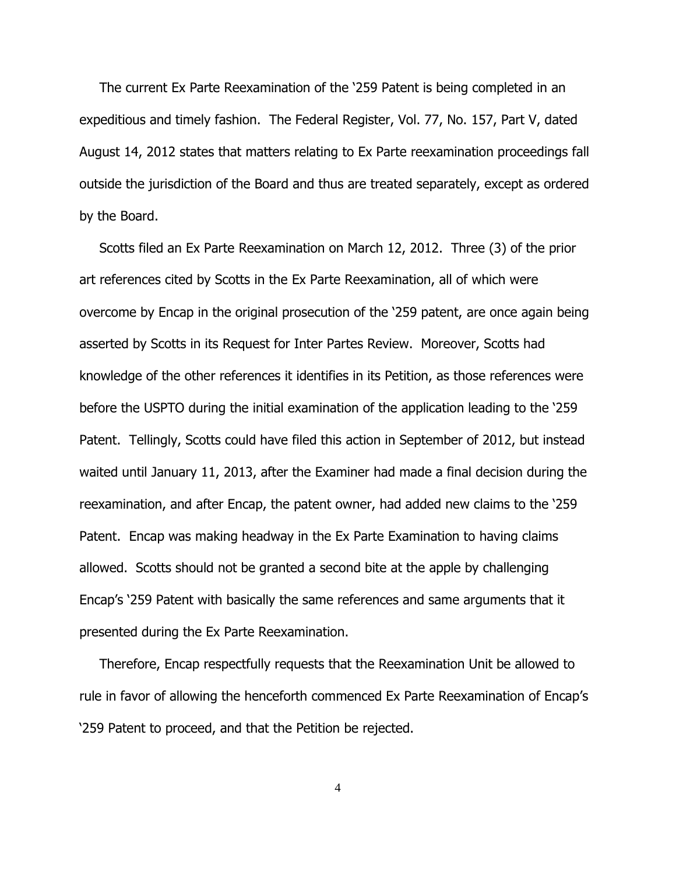The current Ex Parte Reexamination of the '259 Patent is being completed in an expeditious and timely fashion. The Federal Register, Vol. 77, No. 157, Part V, dated August 14, 2012 states that matters relating to Ex Parte reexamination proceedings fall outside the jurisdiction of the Board and thus are treated separately, except as ordered by the Board.

Scotts filed an Ex Parte Reexamination on March 12, 2012. Three (3) of the prior art references cited by Scotts in the Ex Parte Reexamination, all of which were overcome by Encap in the original prosecution of the '259 patent, are once again being asserted by Scotts in its Request for Inter Partes Review. Moreover, Scotts had knowledge of the other references it identifies in its Petition, as those references were before the USPTO during the initial examination of the application leading to the '259 Patent. Tellingly, Scotts could have filed this action in September of 2012, but instead waited until January 11, 2013, after the Examiner had made a final decision during the reexamination, and after Encap, the patent owner, had added new claims to the '259 Patent. Encap was making headway in the Ex Parte Examination to having claims allowed. Scotts should not be granted a second bite at the apple by challenging Encap's '259 Patent with basically the same references and same arguments that it presented during the Ex Parte Reexamination.

Therefore, Encap respectfully requests that the Reexamination Unit be allowed to rule in favor of allowing the henceforth commenced Ex Parte Reexamination of Encap's '259 Patent to proceed, and that the Petition be rejected.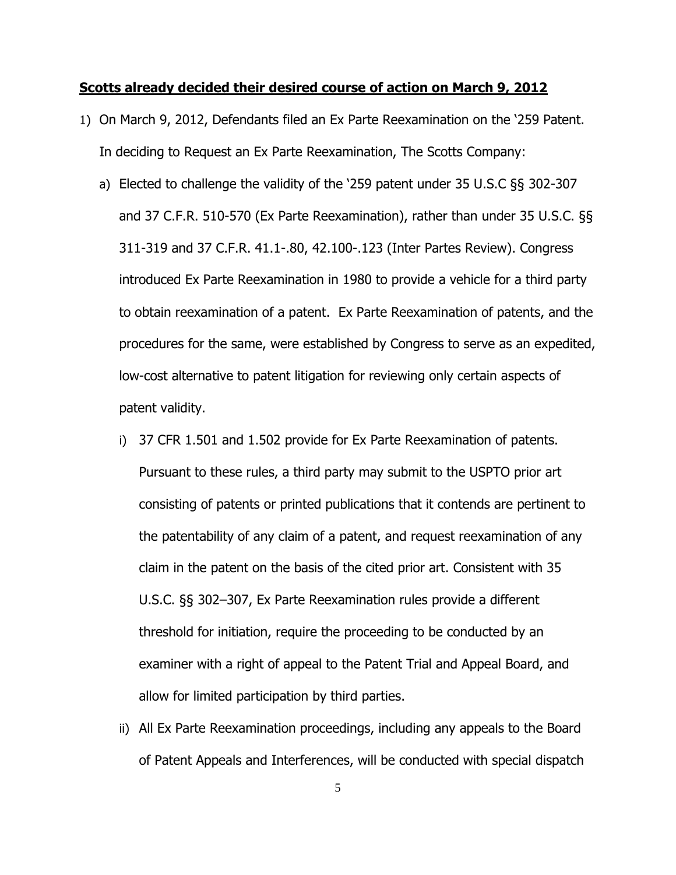#### **Scotts already decided their desired course of action on March 9, 2012**

- 1) On March 9, 2012, Defendants filed an Ex Parte Reexamination on the '259 Patent. In deciding to Request an Ex Parte Reexamination, The Scotts Company:
	- a) Elected to challenge the validity of the '259 patent under 35 U.S.C §§ 302-307 and 37 C.F.R. 510-570 (Ex Parte Reexamination), rather than under 35 U.S.C. §§ 311-319 and 37 C.F.R. 41.1-.80, 42.100-.123 (Inter Partes Review). Congress introduced Ex Parte Reexamination in 1980 to provide a vehicle for a third party to obtain reexamination of a patent. Ex Parte Reexamination of patents, and the procedures for the same, were established by Congress to serve as an expedited, low-cost alternative to patent litigation for reviewing only certain aspects of patent validity.
		- i) 37 CFR 1.501 and 1.502 provide for Ex Parte Reexamination of patents. Pursuant to these rules, a third party may submit to the USPTO prior art consisting of patents or printed publications that it contends are pertinent to the patentability of any claim of a patent, and request reexamination of any claim in the patent on the basis of the cited prior art. Consistent with 35 U.S.C. §§ 302–307, Ex Parte Reexamination rules provide a different threshold for initiation, require the proceeding to be conducted by an examiner with a right of appeal to the Patent Trial and Appeal Board, and allow for limited participation by third parties.
		- ii) All Ex Parte Reexamination proceedings, including any appeals to the Board of Patent Appeals and Interferences, will be conducted with special dispatch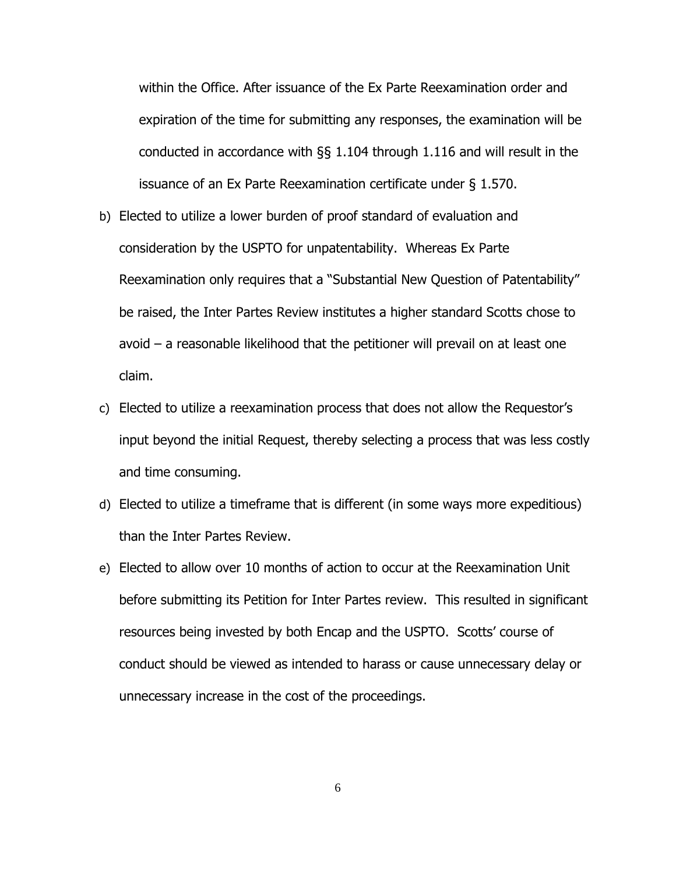within the Office. After issuance of the Ex Parte Reexamination order and expiration of the time for submitting any responses, the examination will be conducted in accordance with §§ 1.104 through 1.116 and will result in the issuance of an Ex Parte Reexamination certificate under § 1.570.

- b) Elected to utilize a lower burden of proof standard of evaluation and consideration by the USPTO for unpatentability. Whereas Ex Parte Reexamination only requires that a "Substantial New Question of Patentability" be raised, the Inter Partes Review institutes a higher standard Scotts chose to avoid – a reasonable likelihood that the petitioner will prevail on at least one claim.
- c) Elected to utilize a reexamination process that does not allow the Requestor's input beyond the initial Request, thereby selecting a process that was less costly and time consuming.
- d) Elected to utilize a timeframe that is different (in some ways more expeditious) than the Inter Partes Review.
- e) Elected to allow over 10 months of action to occur at the Reexamination Unit before submitting its Petition for Inter Partes review. This resulted in significant resources being invested by both Encap and the USPTO. Scotts' course of conduct should be viewed as intended to harass or cause unnecessary delay or unnecessary increase in the cost of the proceedings.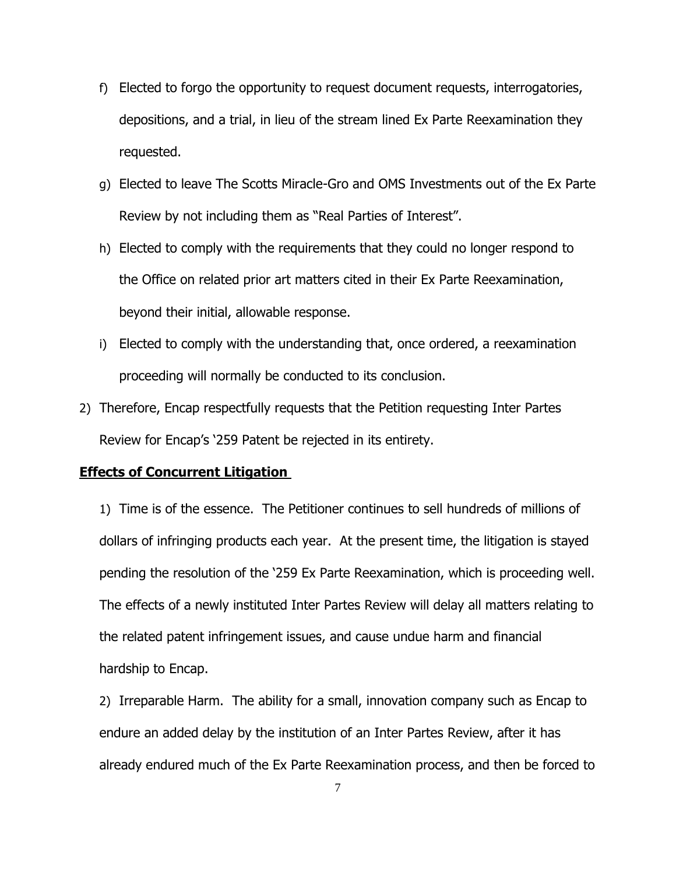- f) Elected to forgo the opportunity to request document requests, interrogatories, depositions, and a trial, in lieu of the stream lined Ex Parte Reexamination they requested.
- g) Elected to leave The Scotts Miracle-Gro and OMS Investments out of the Ex Parte Review by not including them as "Real Parties of Interest".
- h) Elected to comply with the requirements that they could no longer respond to the Office on related prior art matters cited in their Ex Parte Reexamination, beyond their initial, allowable response.
- i) Elected to comply with the understanding that, once ordered, a reexamination proceeding will normally be conducted to its conclusion.
- 2) Therefore, Encap respectfully requests that the Petition requesting Inter Partes Review for Encap's '259 Patent be rejected in its entirety.

## **Effects of Concurrent Litigation**

1) Time is of the essence. The Petitioner continues to sell hundreds of millions of dollars of infringing products each year. At the present time, the litigation is stayed pending the resolution of the '259 Ex Parte Reexamination, which is proceeding well. The effects of a newly instituted Inter Partes Review will delay all matters relating to the related patent infringement issues, and cause undue harm and financial hardship to Encap.

2) Irreparable Harm. The ability for a small, innovation company such as Encap to endure an added delay by the institution of an Inter Partes Review, after it has already endured much of the Ex Parte Reexamination process, and then be forced to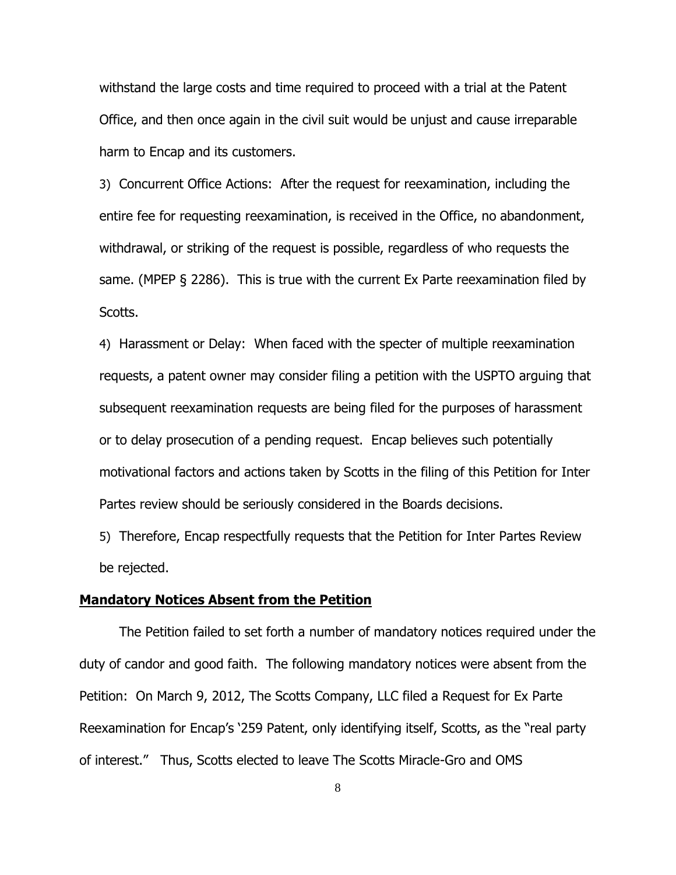withstand the large costs and time required to proceed with a trial at the Patent Office, and then once again in the civil suit would be unjust and cause irreparable harm to Encap and its customers.

3) Concurrent Office Actions: After the request for reexamination, including the entire fee for requesting reexamination, is received in the Office, no abandonment, withdrawal, or striking of the request is possible, regardless of who requests the same. (MPEP § 2286). This is true with the current Ex Parte reexamination filed by Scotts.

4) Harassment or Delay: When faced with the specter of multiple reexamination requests, a patent owner may consider filing a petition with the USPTO arguing that subsequent reexamination requests are being filed for the purposes of harassment or to delay prosecution of a pending request. Encap believes such potentially motivational factors and actions taken by Scotts in the filing of this Petition for Inter Partes review should be seriously considered in the Boards decisions.

5) Therefore, Encap respectfully requests that the Petition for Inter Partes Review be rejected.

#### **Mandatory Notices Absent from the Petition**

The Petition failed to set forth a number of mandatory notices required under the duty of candor and good faith. The following mandatory notices were absent from the Petition: On March 9, 2012, The Scotts Company, LLC filed a Request for Ex Parte Reexamination for Encap's '259 Patent, only identifying itself, Scotts, as the "real party of interest." Thus, Scotts elected to leave The Scotts Miracle-Gro and OMS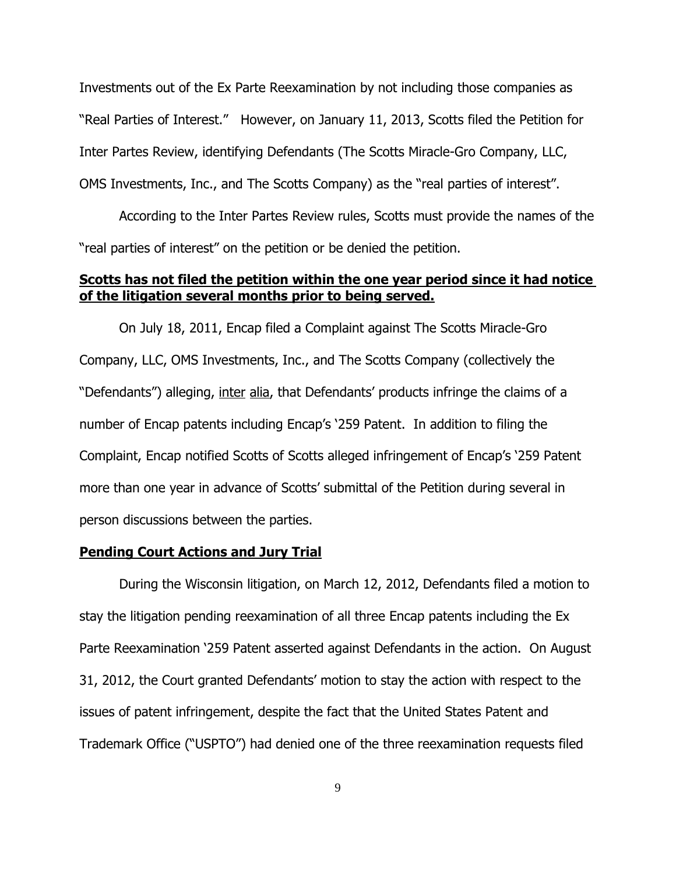Investments out of the Ex Parte Reexamination by not including those companies as "Real Parties of Interest." However, on January 11, 2013, Scotts filed the Petition for Inter Partes Review, identifying Defendants (The Scotts Miracle-Gro Company, LLC, OMS Investments, Inc., and The Scotts Company) as the "real parties of interest".

According to the Inter Partes Review rules, Scotts must provide the names of the "real parties of interest" on the petition or be denied the petition.

## **Scotts has not filed the petition within the one year period since it had notice of the litigation several months prior to being served.**

On July 18, 2011, Encap filed a Complaint against The Scotts Miracle-Gro Company, LLC, OMS Investments, Inc., and The Scotts Company (collectively the "Defendants") alleging, inter alia, that Defendants' products infringe the claims of a number of Encap patents including Encap's '259 Patent. In addition to filing the Complaint, Encap notified Scotts of Scotts alleged infringement of Encap's '259 Patent more than one year in advance of Scotts' submittal of the Petition during several in person discussions between the parties.

#### **Pending Court Actions and Jury Trial**

During the Wisconsin litigation, on March 12, 2012, Defendants filed a motion to stay the litigation pending reexamination of all three Encap patents including the Ex Parte Reexamination '259 Patent asserted against Defendants in the action. On August 31, 2012, the Court granted Defendants' motion to stay the action with respect to the issues of patent infringement, despite the fact that the United States Patent and Trademark Office ("USPTO") had denied one of the three reexamination requests filed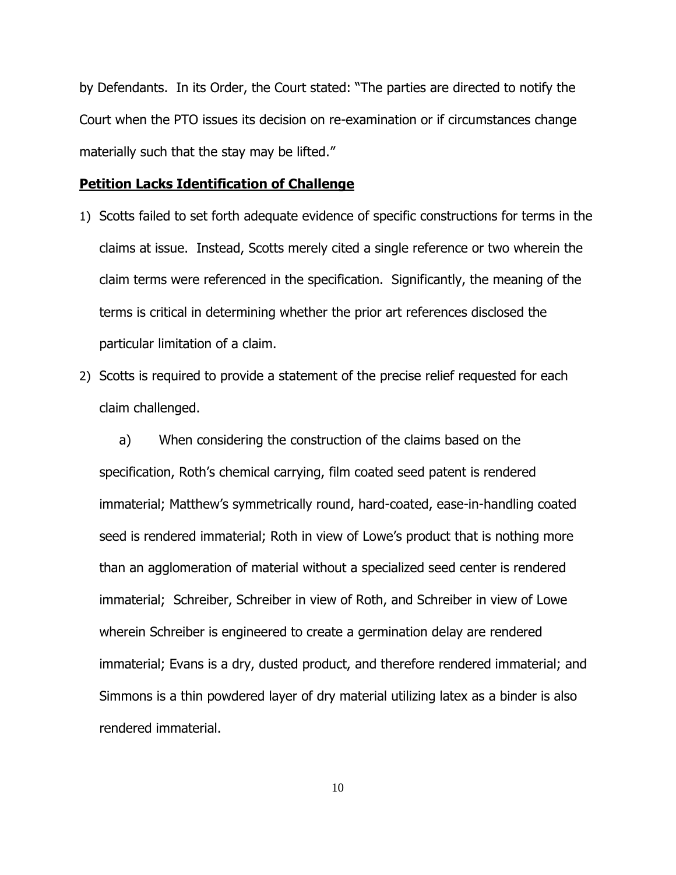by Defendants. In its Order, the Court stated: "The parties are directed to notify the Court when the PTO issues its decision on re-examination or if circumstances change materially such that the stay may be lifted."

## **Petition Lacks Identification of Challenge**

- 1) Scotts failed to set forth adequate evidence of specific constructions for terms in the claims at issue. Instead, Scotts merely cited a single reference or two wherein the claim terms were referenced in the specification. Significantly, the meaning of the terms is critical in determining whether the prior art references disclosed the particular limitation of a claim.
- 2) Scotts is required to provide a statement of the precise relief requested for each claim challenged.

a) When considering the construction of the claims based on the specification, Roth's chemical carrying, film coated seed patent is rendered immaterial; Matthew's symmetrically round, hard-coated, ease-in-handling coated seed is rendered immaterial; Roth in view of Lowe's product that is nothing more than an agglomeration of material without a specialized seed center is rendered immaterial; Schreiber, Schreiber in view of Roth, and Schreiber in view of Lowe wherein Schreiber is engineered to create a germination delay are rendered immaterial; Evans is a dry, dusted product, and therefore rendered immaterial; and Simmons is a thin powdered layer of dry material utilizing latex as a binder is also rendered immaterial.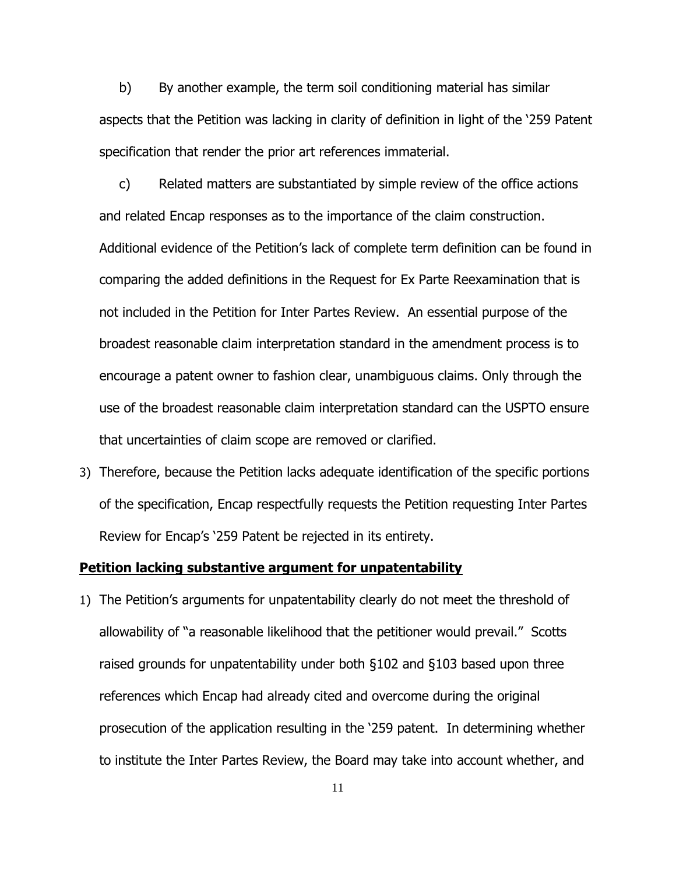b) By another example, the term soil conditioning material has similar aspects that the Petition was lacking in clarity of definition in light of the '259 Patent specification that render the prior art references immaterial.

c) Related matters are substantiated by simple review of the office actions and related Encap responses as to the importance of the claim construction. Additional evidence of the Petition's lack of complete term definition can be found in comparing the added definitions in the Request for Ex Parte Reexamination that is not included in the Petition for Inter Partes Review. An essential purpose of the broadest reasonable claim interpretation standard in the amendment process is to encourage a patent owner to fashion clear, unambiguous claims. Only through the use of the broadest reasonable claim interpretation standard can the USPTO ensure that uncertainties of claim scope are removed or clarified.

3) Therefore, because the Petition lacks adequate identification of the specific portions of the specification, Encap respectfully requests the Petition requesting Inter Partes Review for Encap's '259 Patent be rejected in its entirety.

## **Petition lacking substantive argument for unpatentability**

1) The Petition's arguments for unpatentability clearly do not meet the threshold of allowability of "a reasonable likelihood that the petitioner would prevail." Scotts raised grounds for unpatentability under both §102 and §103 based upon three references which Encap had already cited and overcome during the original prosecution of the application resulting in the '259 patent. In determining whether to institute the Inter Partes Review, the Board may take into account whether, and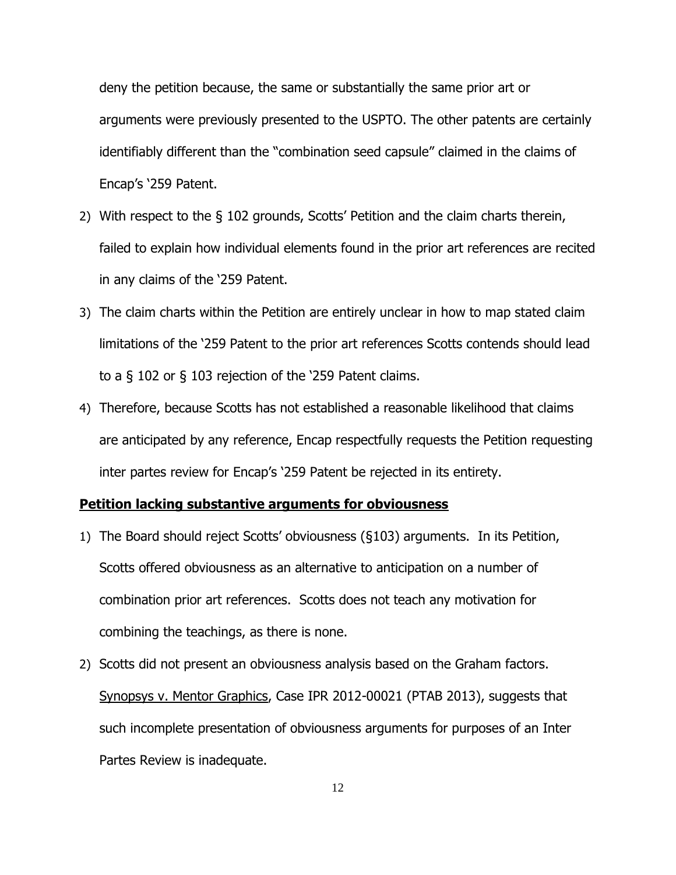deny the petition because, the same or substantially the same prior art or arguments were previously presented to the USPTO. The other patents are certainly identifiably different than the "combination seed capsule" claimed in the claims of Encap's '259 Patent.

- 2) With respect to the § 102 grounds, Scotts' Petition and the claim charts therein, failed to explain how individual elements found in the prior art references are recited in any claims of the '259 Patent.
- 3) The claim charts within the Petition are entirely unclear in how to map stated claim limitations of the '259 Patent to the prior art references Scotts contends should lead to a § 102 or § 103 rejection of the '259 Patent claims.
- 4) Therefore, because Scotts has not established a reasonable likelihood that claims are anticipated by any reference, Encap respectfully requests the Petition requesting inter partes review for Encap's '259 Patent be rejected in its entirety.

## **Petition lacking substantive arguments for obviousness**

- 1) The Board should reject Scotts' obviousness (§103) arguments. In its Petition, Scotts offered obviousness as an alternative to anticipation on a number of combination prior art references. Scotts does not teach any motivation for combining the teachings, as there is none.
- 2) Scotts did not present an obviousness analysis based on the Graham factors. Synopsys v. Mentor Graphics, Case IPR 2012-00021 (PTAB 2013), suggests that such incomplete presentation of obviousness arguments for purposes of an Inter Partes Review is inadequate.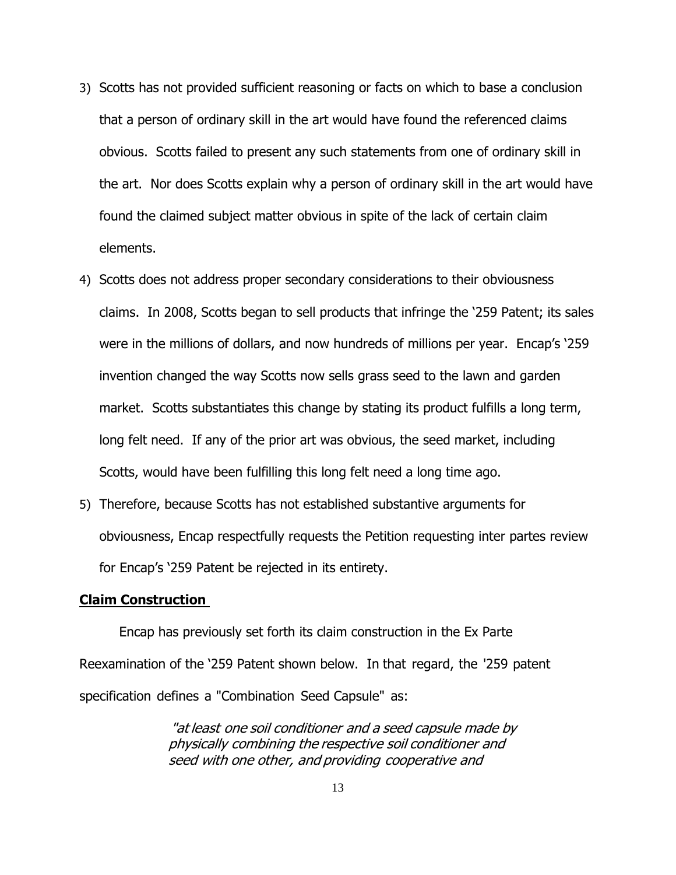- 3) Scotts has not provided sufficient reasoning or facts on which to base a conclusion that a person of ordinary skill in the art would have found the referenced claims obvious. Scotts failed to present any such statements from one of ordinary skill in the art. Nor does Scotts explain why a person of ordinary skill in the art would have found the claimed subject matter obvious in spite of the lack of certain claim elements.
- 4) Scotts does not address proper secondary considerations to their obviousness claims. In 2008, Scotts began to sell products that infringe the '259 Patent; its sales were in the millions of dollars, and now hundreds of millions per year. Encap's '259 invention changed the way Scotts now sells grass seed to the lawn and garden market. Scotts substantiates this change by stating its product fulfills a long term, long felt need. If any of the prior art was obvious, the seed market, including Scotts, would have been fulfilling this long felt need a long time ago.
- 5) Therefore, because Scotts has not established substantive arguments for obviousness, Encap respectfully requests the Petition requesting inter partes review for Encap's '259 Patent be rejected in its entirety.

## **Claim Construction**

Encap has previously set forth its claim construction in the Ex Parte Reexamination of the '259 Patent shown below. In that regard, the '259 patent specification defines a "Combination Seed Capsule" as:

> "at least one soil conditioner and <sup>a</sup> seed capsule made by physically combining the respective soil conditioner and seed with one other, and providing cooperative and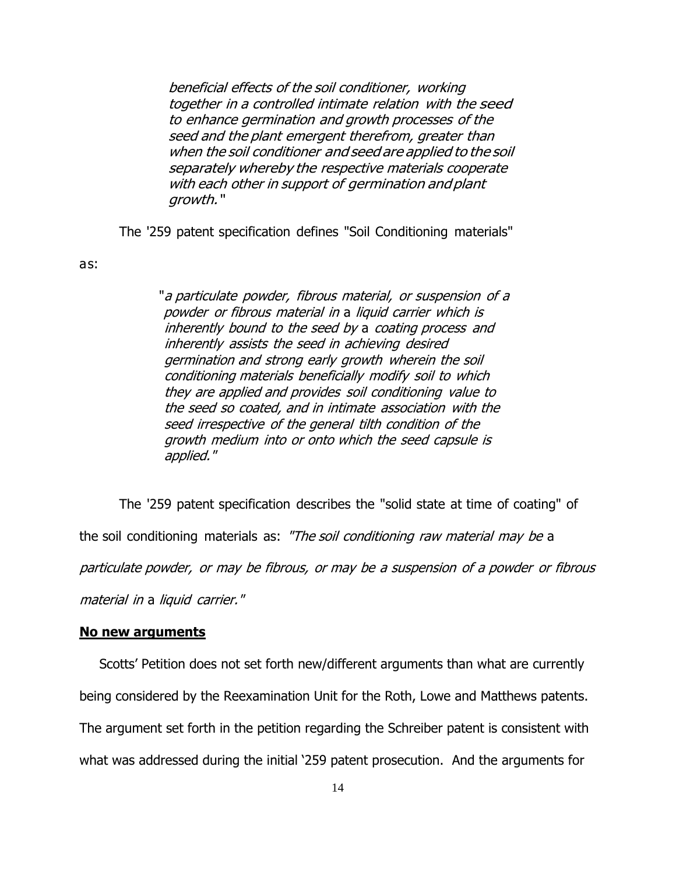beneficial effects of the soil conditioner, working together in <sup>a</sup> controlled intimate relation with the seed to enhance germination and growth processes of the seed and the plant emergent therefrom, greater than when the soil conditioner and seed are applied to the soil separately whereby the respective materials cooperate with each other in support of germination and plant growth. "

The '259 patent specification defines "Soil Conditioning materials"

as:

"<sup>a</sup> particulate powder, fibrous material, or suspension of <sup>a</sup> powder or fibrous material in a liquid carrier which is inherently bound to the seed by a coating process and inherently assists the seed in achieving desired germination and strong early growth wherein the soil conditioning materials beneficially modify soil to which they are applied and provides soil conditioning value to the seed so coated, and in intimate association with the seed irrespective of the general tilth condition of the growth medium into or onto which the seed capsule is applied."

The '259 patent specification describes the "solid state at time of coating" of the soil conditioning materials as: "The soil conditioning raw material may be a particulate powder, or may be fibrous, or may be <sup>a</sup> suspension of <sup>a</sup> powder or fibrous material in a liquid carrier."

#### **No new arguments**

Scotts' Petition does not set forth new/different arguments than what are currently being considered by the Reexamination Unit for the Roth, Lowe and Matthews patents. The argument set forth in the petition regarding the Schreiber patent is consistent with what was addressed during the initial '259 patent prosecution. And the arguments for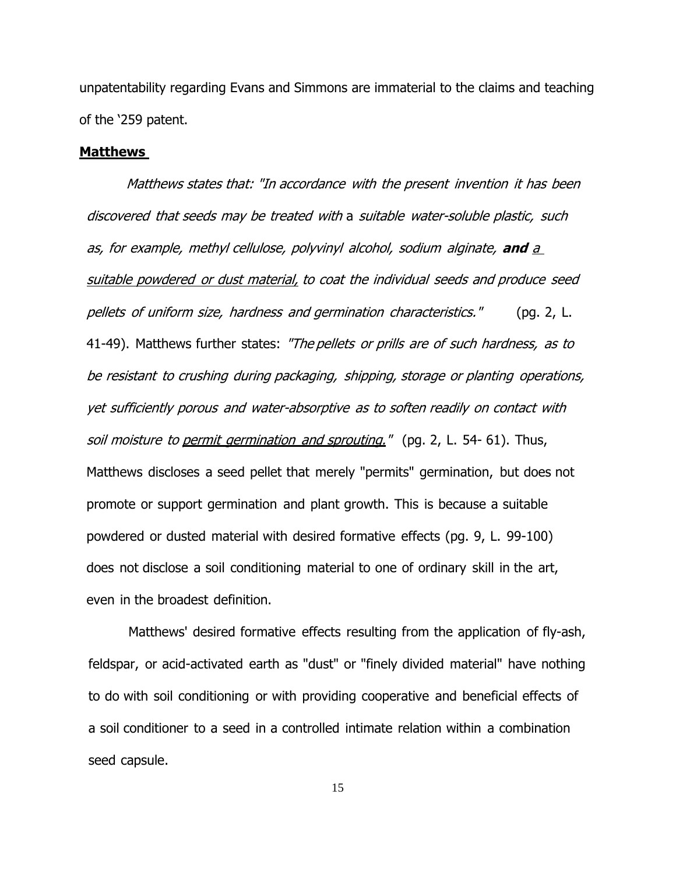unpatentability regarding Evans and Simmons are immaterial to the claims and teaching of the '259 patent.

#### **Matthews**

Matthews states that: "In accordance with the present invention it has been discovered that seeds may be treated with a suitable water-soluble plastic, such as, for example, methyl cellulose, polyvinyl alcohol, sodium alginate, **and** <sup>a</sup> suitable powdered or dust material, to coat the individual seeds and produce seed pellets of uniform size, hardness and germination characteristics." (pg. 2, L. 41-49). Matthews further states: "The pellets or prills are of such hardness, as to be resistant to crushing during packaging, shipping, storage or planting operations, yet sufficiently porous and water-absorptive as to soften readily on contact with soil moisture to permit germination and sprouting." (pg. 2, L. 54- 61). Thus, Matthews discloses a seed pellet that merely "permits" germination, but does not promote or support germination and plant growth. This is because a suitable powdered or dusted material with desired formative effects (pg. 9, L. 99-100) does not disclose a soil conditioning material to one of ordinary skill in the art, even in the broadest definition.

Matthews' desired formative effects resulting from the application of fly-ash, feldspar, or acid-activated earth as "dust" or "finely divided material" have nothing to do with soil conditioning or with providing cooperative and beneficial effects of a soil conditioner to a seed in a controlled intimate relation within a combination seed capsule.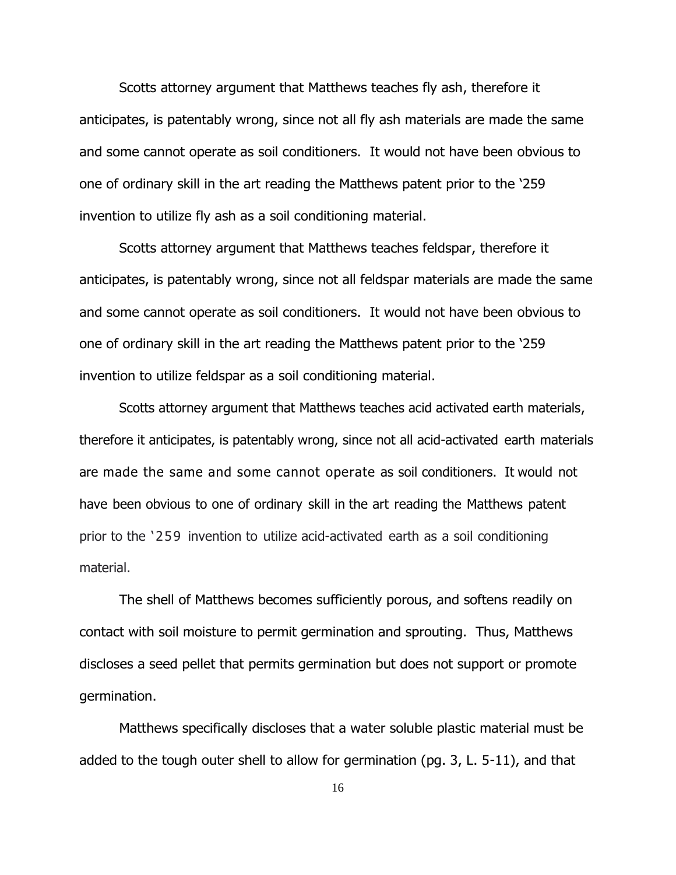Scotts attorney argument that Matthews teaches fly ash, therefore it anticipates, is patentably wrong, since not all fly ash materials are made the same and some cannot operate as soil conditioners. It would not have been obvious to one of ordinary skill in the art reading the Matthews patent prior to the '259 invention to utilize fly ash as a soil conditioning material.

Scotts attorney argument that Matthews teaches feldspar, therefore it anticipates, is patentably wrong, since not all feldspar materials are made the same and some cannot operate as soil conditioners. It would not have been obvious to one of ordinary skill in the art reading the Matthews patent prior to the '259 invention to utilize feldspar as a soil conditioning material.

Scotts attorney argument that Matthews teaches acid activated earth materials, therefore it anticipates, is patentably wrong, since not all acid-activated earth materials are made the same and some cannot operate as soil conditioners. It would not have been obvious to one of ordinary skill in the art reading the Matthews patent prior to the '259 invention to utilize acid-activated earth as a soil conditioning material.

The shell of Matthews becomes sufficiently porous, and softens readily on contact with soil moisture to permit germination and sprouting. Thus, Matthews discloses a seed pellet that permits germination but does not support or promote germination.

Matthews specifically discloses that a water soluble plastic material must be added to the tough outer shell to allow for germination (pg. 3, L. 5-11), and that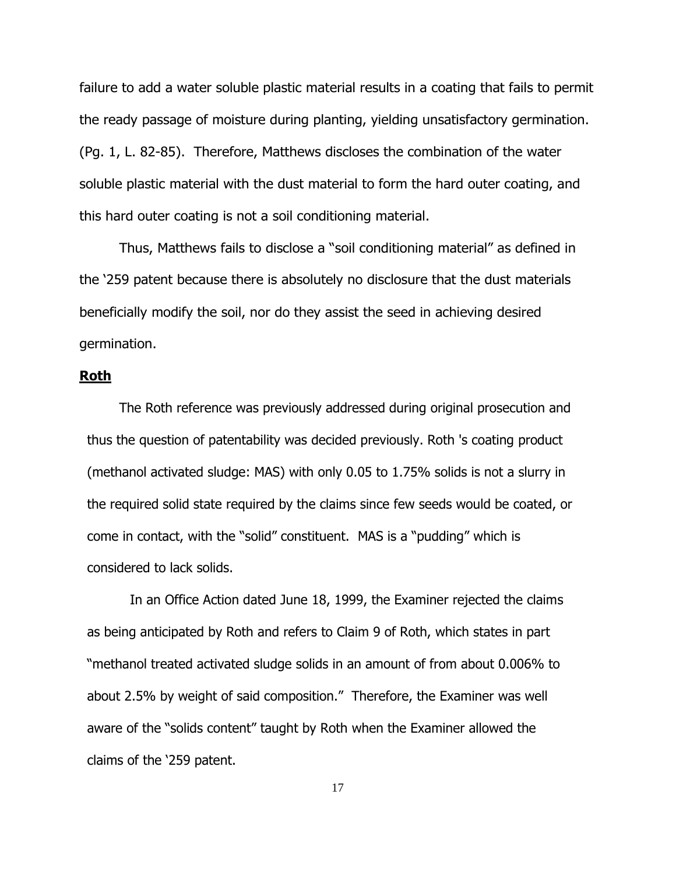failure to add a water soluble plastic material results in a coating that fails to permit the ready passage of moisture during planting, yielding unsatisfactory germination. (Pg. 1, L. 82-85). Therefore, Matthews discloses the combination of the water soluble plastic material with the dust material to form the hard outer coating, and this hard outer coating is not a soil conditioning material.

Thus, Matthews fails to disclose a "soil conditioning material" as defined in the '259 patent because there is absolutely no disclosure that the dust materials beneficially modify the soil, nor do they assist the seed in achieving desired germination.

## **Roth**

The Roth reference was previously addressed during original prosecution and thus the question of patentability was decided previously. Roth 's coating product (methanol activated sludge: MAS) with only 0.05 to 1.75% solids is not a slurry in the required solid state required by the claims since few seeds would be coated, or come in contact, with the "solid" constituent. MAS is a "pudding" which is considered to lack solids.

In an Office Action dated June 18, 1999, the Examiner rejected the claims as being anticipated by Roth and refers to Claim 9 of Roth, which states in part "methanol treated activated sludge solids in an amount of from about 0.006% to about 2.5% by weight of said composition." Therefore, the Examiner was well aware of the "solids content" taught by Roth when the Examiner allowed the claims of the '259 patent.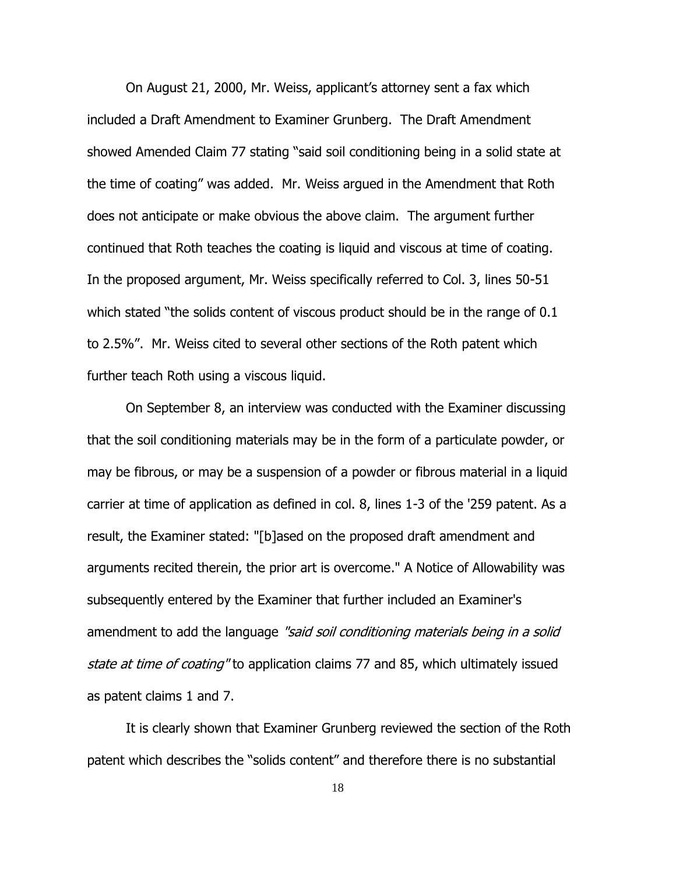On August 21, 2000, Mr. Weiss, applicant's attorney sent a fax which included a Draft Amendment to Examiner Grunberg. The Draft Amendment showed Amended Claim 77 stating "said soil conditioning being in a solid state at the time of coating" was added. Mr. Weiss argued in the Amendment that Roth does not anticipate or make obvious the above claim. The argument further continued that Roth teaches the coating is liquid and viscous at time of coating. In the proposed argument, Mr. Weiss specifically referred to Col. 3, lines 50-51 which stated "the solids content of viscous product should be in the range of 0.1 to 2.5%". Mr. Weiss cited to several other sections of the Roth patent which further teach Roth using a viscous liquid.

On September 8, an interview was conducted with the Examiner discussing that the soil conditioning materials may be in the form of a particulate powder, or may be fibrous, or may be a suspension of a powder or fibrous material in a liquid carrier at time of application as defined in col. 8, lines 1-3 of the '259 patent. As a result, the Examiner stated: "[b]ased on the proposed draft amendment and arguments recited therein, the prior art is overcome." A Notice of Allowability was subsequently entered by the Examiner that further included an Examiner's amendment to add the language "said soil conditioning materials being in a solid state at time of coating" to application claims 77 and 85, which ultimately issued as patent claims 1 and 7.

It is clearly shown that Examiner Grunberg reviewed the section of the Roth patent which describes the "solids content" and therefore there is no substantial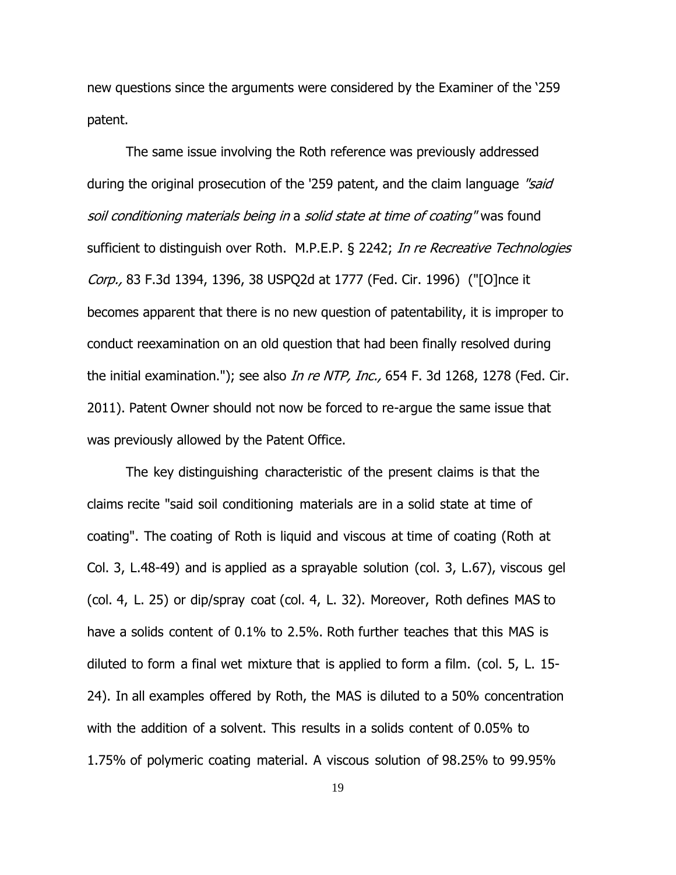new questions since the arguments were considered by the Examiner of the '259 patent.

The same issue involving the Roth reference was previously addressed during the original prosecution of the '259 patent, and the claim language "said" soil conditioning materials being in a solid state at time of coating" was found sufficient to distinguish over Roth. M.P.E.P. § 2242; In re Recreative Technologies Corp., 83 F.3d 1394, 1396, 38 USPQ2d at 1777 (Fed. Cir. 1996) ("[O]nce it becomes apparent that there is no new question of patentability, it is improper to conduct reexamination on an old question that had been finally resolved during the initial examination."); see also *In re NTP, Inc.*, 654 F. 3d 1268, 1278 (Fed. Cir. 2011). Patent Owner should not now be forced to re-argue the same issue that was previously allowed by the Patent Office.

The key distinguishing characteristic of the present claims is that the claims recite "said soil conditioning materials are in a solid state at time of coating". The coating of Roth is liquid and viscous at time of coating (Roth at Col. 3, L.48-49) and is applied as a sprayable solution (col. 3, L.67), viscous gel (col. 4, L. 25) or dip/spray coat (col. 4, L. 32). Moreover, Roth defines MAS to have a solids content of 0.1% to 2.5%. Roth further teaches that this MAS is diluted to form a final wet mixture that is applied to form a film. (col. 5, L. 15- 24). In all examples offered by Roth, the MAS is diluted to a 50% concentration with the addition of a solvent. This results in a solids content of 0.05% to 1.75% of polymeric coating material. A viscous solution of 98.25% to 99.95%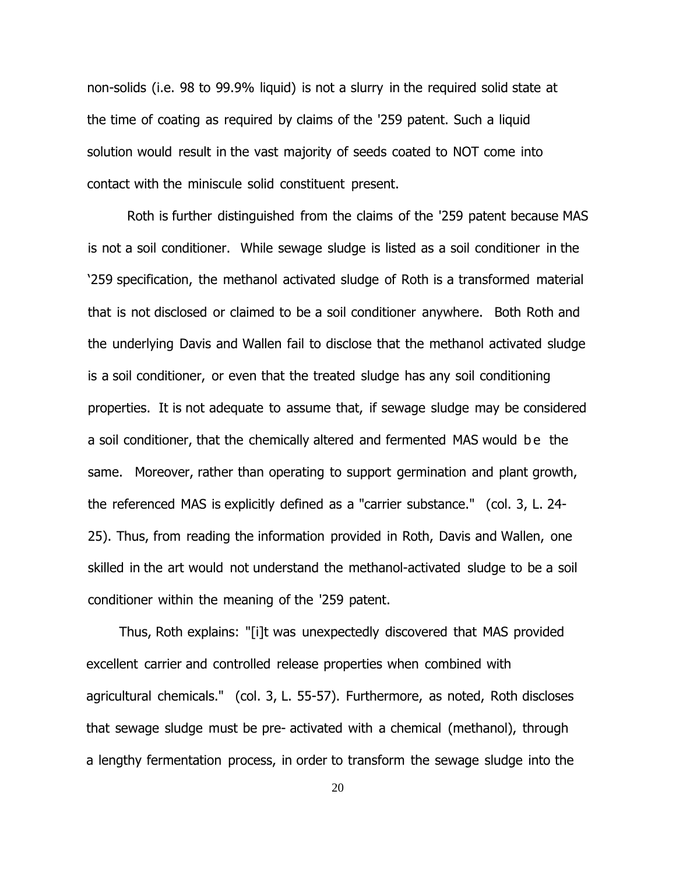non-solids (i.e. 98 to 99.9% liquid) is not a slurry in the required solid state at the time of coating as required by claims of the '259 patent. Such a liquid solution would result in the vast majority of seeds coated to NOT come into contact with the miniscule solid constituent present.

Roth is further distinguished from the claims of the '259 patent because MAS is not a soil conditioner. While sewage sludge is listed as a soil conditioner in the '259 specification, the methanol activated sludge of Roth is a transformed material that is not disclosed or claimed to be a soil conditioner anywhere. Both Roth and the underlying Davis and Wallen fail to disclose that the methanol activated sludge is a soil conditioner, or even that the treated sludge has any soil conditioning properties. It is not adequate to assume that, if sewage sludge may be considered a soil conditioner, that the chemically altered and fermented MAS would be the same. Moreover, rather than operating to support germination and plant growth, the referenced MAS is explicitly defined as a "carrier substance." (col. 3, L. 24- 25). Thus, from reading the information provided in Roth, Davis and Wallen, one skilled in the art would not understand the methanol-activated sludge to be a soil conditioner within the meaning of the '259 patent.

Thus, Roth explains: "[i]t was unexpectedly discovered that MAS provided excellent carrier and controlled release properties when combined with agricultural chemicals." (col. 3, L. 55-57). Furthermore, as noted, Roth discloses that sewage sludge must be pre- activated with a chemical (methanol), through a lengthy fermentation process, in order to transform the sewage sludge into the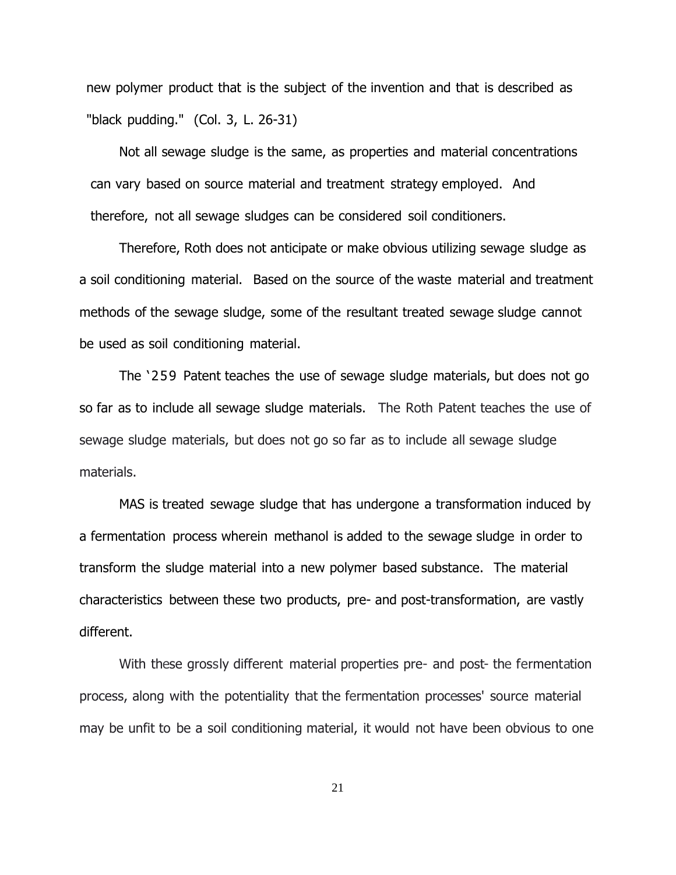new polymer product that is the subject of the invention and that is described as "black pudding." (Col. 3, L. 26-31)

Not all sewage sludge is the same, as properties and material concentrations can vary based on source material and treatment strategy employed. And therefore, not all sewage sludges can be considered soil conditioners.

Therefore, Roth does not anticipate or make obvious utilizing sewage sludge as a soil conditioning material. Based on the source of the waste material and treatment methods of the sewage sludge, some of the resultant treated sewage sludge cannot be used as soil conditioning material.

The '259 Patent teaches the use of sewage sludge materials, but does not go so far as to include all sewage sludge materials. The Roth Patent teaches the use of sewage sludge materials, but does not go so far as to include all sewage sludge materials.

MAS is treated sewage sludge that has undergone a transformation induced by a fermentation process wherein methanol is added to the sewage sludge in order to transform the sludge material into a new polymer based substance. The material characteristics between these two products, pre- and post-transformation, are vastly different.

With these grossly different material properties pre- and post- the fermentation process, along with the potentiality that the fermentation processes' source material may be unfit to be a soil conditioning material, it would not have been obvious to one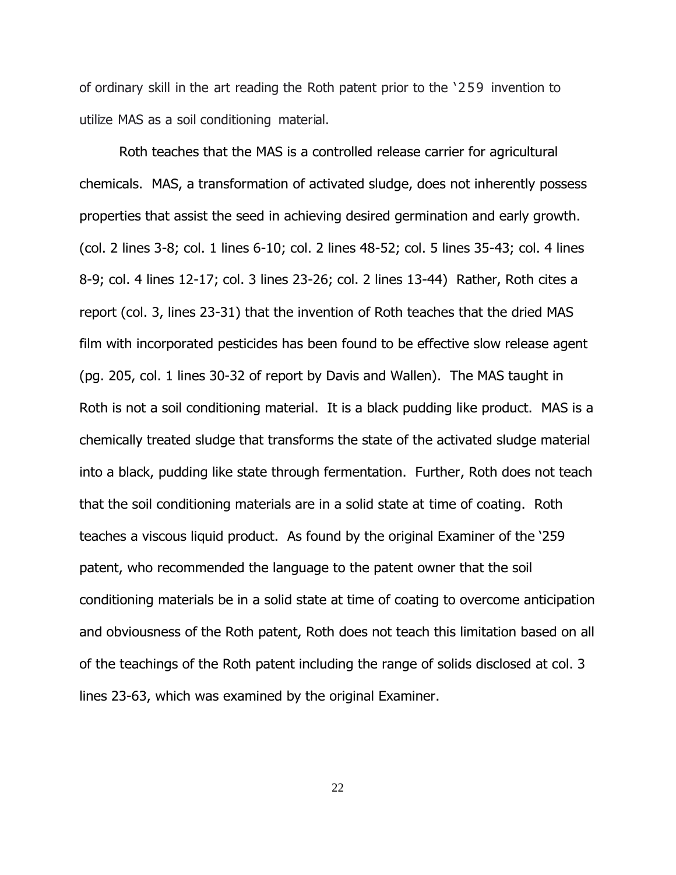of ordinary skill in the art reading the Roth patent prior to the '259 invention to utilize MAS as a soil conditioning material.

Roth teaches that the MAS is a controlled release carrier for agricultural chemicals. MAS, a transformation of activated sludge, does not inherently possess properties that assist the seed in achieving desired germination and early growth. (col. 2 lines 3-8; col. 1 lines 6-10; col. 2 lines 48-52; col. 5 lines 35-43; col. 4 lines 8-9; col. 4 lines 12-17; col. 3 lines 23-26; col. 2 lines 13-44) Rather, Roth cites a report (col. 3, lines 23-31) that the invention of Roth teaches that the dried MAS film with incorporated pesticides has been found to be effective slow release agent (pg. 205, col. 1 lines 30-32 of report by Davis and Wallen). The MAS taught in Roth is not a soil conditioning material. It is a black pudding like product. MAS is a chemically treated sludge that transforms the state of the activated sludge material into a black, pudding like state through fermentation. Further, Roth does not teach that the soil conditioning materials are in a solid state at time of coating. Roth teaches a viscous liquid product. As found by the original Examiner of the '259 patent, who recommended the language to the patent owner that the soil conditioning materials be in a solid state at time of coating to overcome anticipation and obviousness of the Roth patent, Roth does not teach this limitation based on all of the teachings of the Roth patent including the range of solids disclosed at col. 3 lines 23-63, which was examined by the original Examiner.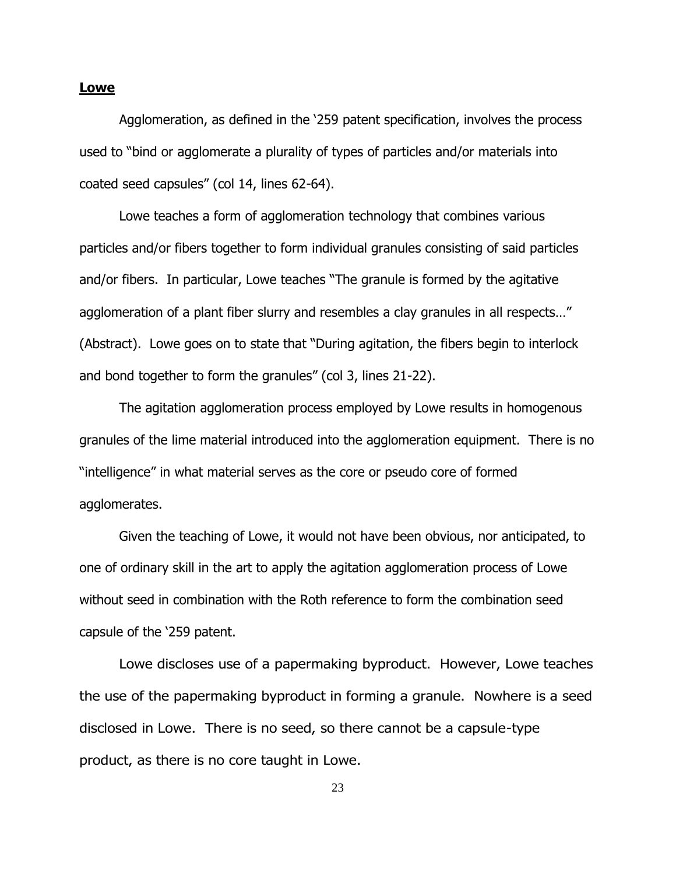#### **Lowe**

Agglomeration, as defined in the '259 patent specification, involves the process used to "bind or agglomerate a plurality of types of particles and/or materials into coated seed capsules" (col 14, lines 62-64).

Lowe teaches a form of agglomeration technology that combines various particles and/or fibers together to form individual granules consisting of said particles and/or fibers. In particular, Lowe teaches "The granule is formed by the agitative agglomeration of a plant fiber slurry and resembles a clay granules in all respects…" (Abstract). Lowe goes on to state that "During agitation, the fibers begin to interlock and bond together to form the granules" (col 3, lines 21-22).

The agitation agglomeration process employed by Lowe results in homogenous granules of the lime material introduced into the agglomeration equipment. There is no "intelligence" in what material serves as the core or pseudo core of formed agglomerates.

Given the teaching of Lowe, it would not have been obvious, nor anticipated, to one of ordinary skill in the art to apply the agitation agglomeration process of Lowe without seed in combination with the Roth reference to form the combination seed capsule of the '259 patent.

Lowe discloses use of a papermaking byproduct. However, Lowe teaches the use of the papermaking byproduct in forming a granule. Nowhere is a seed disclosed in Lowe. There is no seed, so there cannot be a capsule-type product, as there is no core taught in Lowe.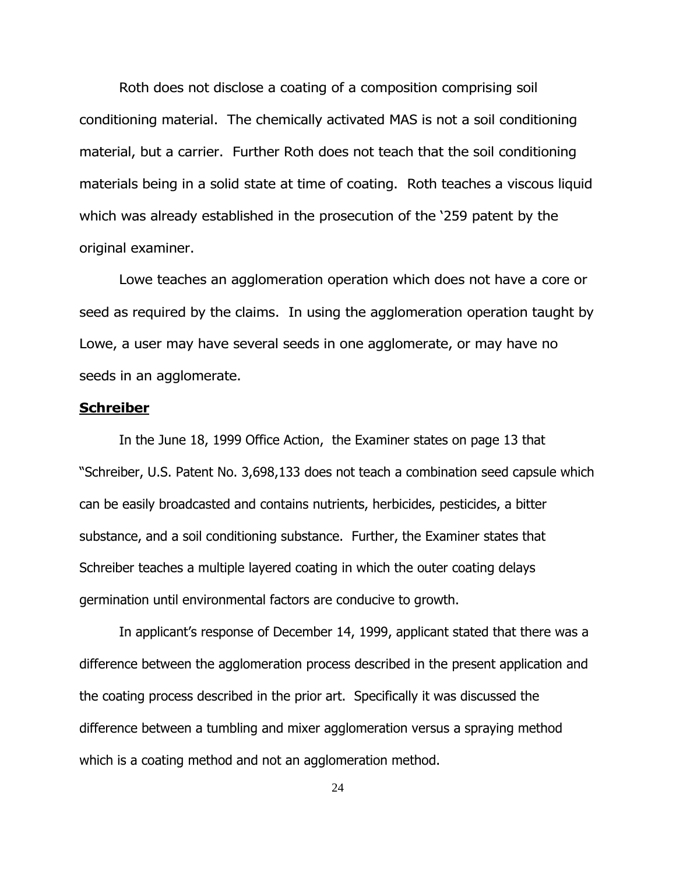Roth does not disclose a coating of a composition comprising soil conditioning material. The chemically activated MAS is not a soil conditioning material, but a carrier. Further Roth does not teach that the soil conditioning materials being in a solid state at time of coating. Roth teaches a viscous liquid which was already established in the prosecution of the '259 patent by the original examiner.

Lowe teaches an agglomeration operation which does not have a core or seed as required by the claims. In using the agglomeration operation taught by Lowe, a user may have several seeds in one agglomerate, or may have no seeds in an agglomerate.

#### **Schreiber**

In the June 18, 1999 Office Action, the Examiner states on page 13 that "Schreiber, U.S. Patent No. 3,698,133 does not teach a combination seed capsule which can be easily broadcasted and contains nutrients, herbicides, pesticides, a bitter substance, and a soil conditioning substance. Further, the Examiner states that Schreiber teaches a multiple layered coating in which the outer coating delays germination until environmental factors are conducive to growth.

In applicant's response of December 14, 1999, applicant stated that there was a difference between the agglomeration process described in the present application and the coating process described in the prior art. Specifically it was discussed the difference between a tumbling and mixer agglomeration versus a spraying method which is a coating method and not an agglomeration method.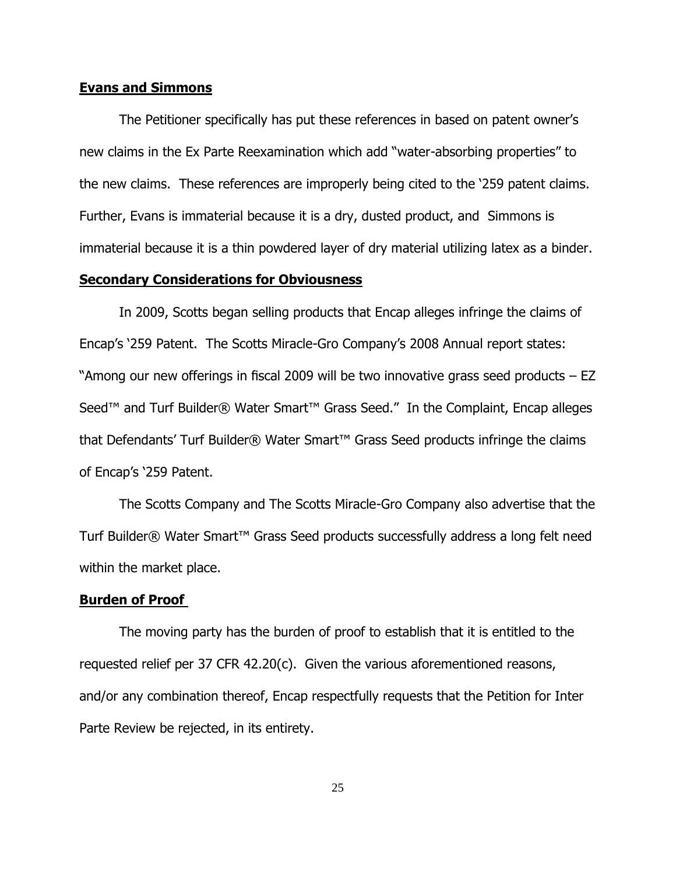#### **Evans and Simmons**

The Petitioner specifically has put these references in based on patent owner's new claims in the Ex Parte Reexamination which add "water-absorbing properties" to the new claims. These references are improperly being cited to the '259 patent claims. Further, Evans is immaterial because it is a dry, dusted product, and Simmons is immaterial because it is a thin powdered layer of dry material utilizing latex as a binder.

### **Secondary Considerations for Obviousness**

In 2009, Scotts began selling products that Encap alleges infringe the claims of Encap's '259 Patent. The Scotts Miracle-Gro Company's 2008 Annual report states: "Among our new offerings in fiscal 2009 will be two innovative grass seed products – EZ Seed™ and Turf Builder® Water Smart™ Grass Seed." In the Complaint, Encap alleges that Defendants' Turf Builder® Water Smart™ Grass Seed products infringe the claims of Encap's '259 Patent.

The Scotts Company and The Scotts Miracle-Gro Company also advertise that the Turf Builder® Water Smart™ Grass Seed products successfully address a long felt need within the market place.

#### **Burden of Proof**

The moving party has the burden of proof to establish that it is entitled to the requested relief per 37 CFR 42.20(c). Given the various aforementioned reasons, and/or any combination thereof, Encap respectfully requests that the Petition for Inter Parte Review be rejected, in its entirety.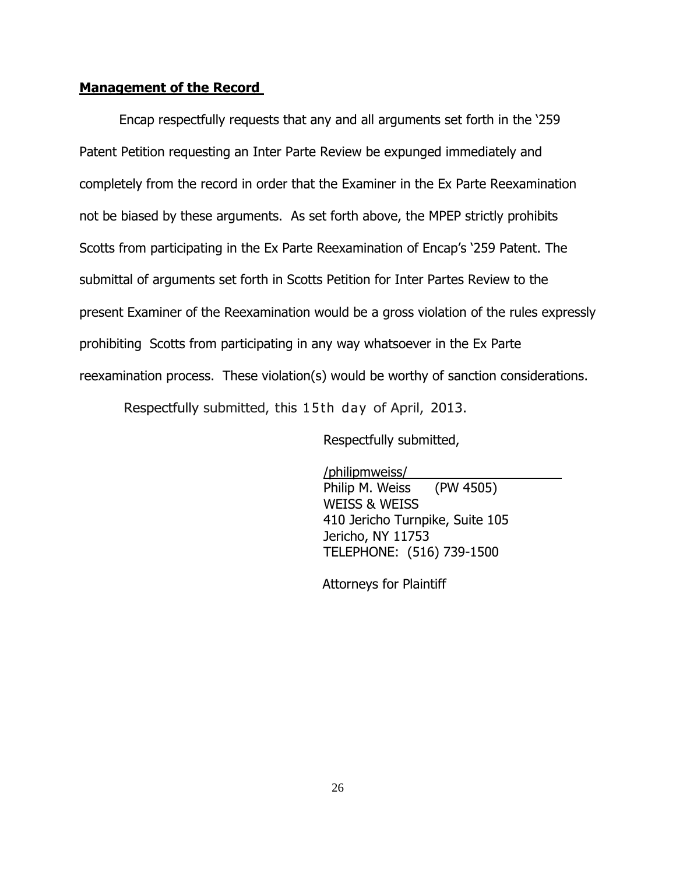## **Management of the Record**

Encap respectfully requests that any and all arguments set forth in the '259 Patent Petition requesting an Inter Parte Review be expunged immediately and completely from the record in order that the Examiner in the Ex Parte Reexamination not be biased by these arguments. As set forth above, the MPEP strictly prohibits Scotts from participating in the Ex Parte Reexamination of Encap's '259 Patent. The submittal of arguments set forth in Scotts Petition for Inter Partes Review to the present Examiner of the Reexamination would be a gross violation of the rules expressly prohibiting Scotts from participating in any way whatsoever in the Ex Parte reexamination process. These violation(s) would be worthy of sanction considerations.

Respectfully submitted, this 15th day of April, 2013.

Respectfully submitted,

/philipmweiss/ Philip M. Weiss (PW 4505) WEISS & WEISS 410 Jericho Turnpike, Suite 105 Jericho, NY 11753 TELEPHONE: (516) 739-1500

Attorneys for Plaintiff